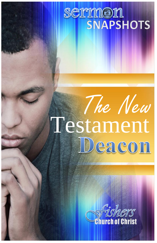# sermon **SNAPSHOTS**

# The New Testament<br>Deacon

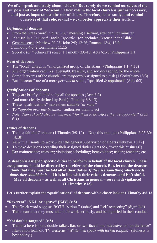**We often speak and study about "elders." But rarely do we remind ourselves of the purpose and work of "deacons." Their role in the local church is just as necessary, and just as important as the role of elders. Therefore, let us study, and remind ourselves of that role, so that we can better appreciate their work…**

#### *Definition* **of deacons**

- From the Greek word, *"diakonos,"* meaning a servant, attendant, or minister
- It's used in a *"general"* and a *"specific"* (or "technical") sense in the Bible
- General sense: Matthew 20:26; John 2:5; 12:26; Romans 13:4; 15:8; 1 Timothy 4:6; 2 Corinthians 11:15
- Specific (or "technical") sense: 1 Timothy 3:8-13; Acts 6:1-3; Philippians 1:1

#### *Need* **of deacons**

- The "local" church is "an organized group of Christians" (Philippians 1:1; 4:15)
- *Any* organization *requires*: oversight, treasury, and *servants* acting for the whole
- Some "servants of the church" are *temporarily* assigned to a task (1 Corinthians 16:3)
- But "deacons" are of a more *permanent* status, "qualified & appointed" (Acts 6:3)

#### *Qualifications* **of deacons**

- They are briefly alluded to by all the apostles (Acts 6:3)
- And more clearly defined by Paul (1 Timothy 3:8-13)
- These "qualifications" make them suitable "servants"
- To *"appoint over this business"* authorizes them to act
- *Note: There should also be "business" for them to do before they're appointed! (Acts 6:1)*

#### *Duties* **of deacons**

- To be a faithful Christian (1 Timothy 3:9-10) -- Note this example (Philippians 2:25-30; 4:18)
- As with all saints, to work under the general supervision of elders (Hebrews 13:17)
- To make decisions regarding their assigned duties (Acts 6:3, "over this business")
- **Ex:** maintenance; treasury; visitation; scheduling; benevolence; ushers; teachers; etc.

**A deacon is assigned specific duties to perform in behalf of the local church. These assignments should be directed by the elders of the church. But, let not the deacons think that they must be** *told* **all of their duties.** *If they see something which needs done, they should do it* **-- if it is in line with their role as deacons, and isn't sinful. May all deacons – as well as all Christians in general – serve with vigilance! (1 Timothy 3:13)**

#### **Let's further explain the "qualifications" of deacons with a closer look at 1 Timothy 3:8-13**

#### **"Reverent" [NKJ] or "grave" [KJV] (v.8)**

- The Greek word suggests BOTH "serious" (sober) and "self-respecting" (dignified)
- This means that they must take their work seriously, and be dignified in their conduct

#### **"Not double-tongued" (v.8)**

- The idea here is not a double talker, liar, or two-faced; not indecisive, or "on the fence"
- Illustration from old TV westerns: "*White men speak with forked tongue."* (Honesty is best policy!)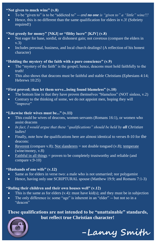#### **"Not given to much wine" (v.8)**

- To be "given to" is to be "addicted to" *-- and no one is "given to" a "little" wine!!!*
- Hence, this is no different than the same qualification for elders in v.3! (Sobriety required!)

#### **"Not greedy for money" [NKJ] or "filthy lucre" [KJV] (v.8)**

- Not eager for base, sordid, or dishonest gain; not covetous (compare the elders in v.3)
- Includes personal, business, and local church dealings! (A reflection of his honest character)

#### **"Holding the mystery of the faith with a pure conscience" (v.9)**

- The "mystery of the faith" is the gospel; hence, deacons must hold faithfully to the truth!
- This also shows that deacons must be faithful and stable Christians (Ephesians 4:14; Hebrews 10:25)

#### **"First proved; then let them serve...being found blameless" (v.10)**

- The bottom line is that they have proven themselves "blameless" (NOT sinless, v.2)
- Contrary to the thinking of some, we do not appoint men, hoping they will "improve"

#### **"Likewise their wives must be..." (v.11)**

- This could be wives of deacons, women servants (Romans 16:1), or women who assist deacons
- *In fact, I would argue that these "qualifications" should be held by all Christian ladies!*
- Finally, note how the qualifications here are almost identical to verses 8-10 for the deacons:
- Reverent (compare v.8); Not slanderers = not double tongued (v.8); temperate (wine/money, v.8)
- Faithful in all things  $=$  proven to be completely trustworthy and reliable (and compare v.9-10)

#### **"Husbands of one wife" (v.12)**

- Same as for elders in verse two: a male who is not unmarried; nor polygamist
- Hence, having only one SCRIPTURAL spouse (Matthew 19:9; and Romans 7:1-3)

#### **"Ruling their children and their own houses well" (v.12)**

- $\bullet$  This is the same as for elders (v.4): must have kid(s); and they must be in subjection
- The only difference is: some "age" is inherent in an "elder" -- but not so in a "deacon"

#### **These qualifications are not intended to be "unattainable" standards, but reflect true Christian character!**



**-Lanny Smith**